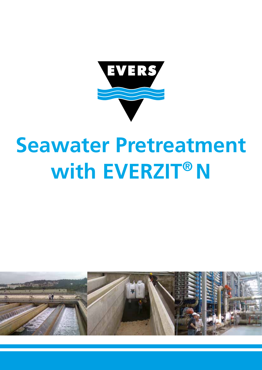

# **Seawater Pretreatment with EVERZIT®N**

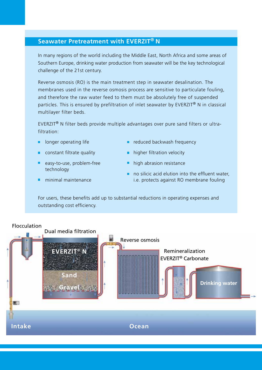## **Seawater Pretreatment with EVERZIT® N**

In many regions of the world including the Middle East, North Africa and some areas of Southern Europe, drinking water production from seawater will be the key technological challenge of the 21st century.

Reverse osmosis (RO) is the main treatment step in seawater desalination. The membranes used in the reverse osmosis process are sensitive to particulate fouling, and therefore the raw water feed to them must be absolutely free of suspended particles. This is ensured by prefiltration of inlet seawater by EVERZIT® N in classical multilayer filter beds.

EVERZIT® N filter beds provide multiple advantages over pure sand filters or ultrafiltration:

- **I** longer operating life
- constant filtrate quality
- **e** easy-to-use, problem-free technology
- minimal maintenance
- $\blacksquare$  reduced backwash frequency
- **higher filtration velocity**
- high abrasion resistance
- $\blacksquare$  no silicic acid elution into the effluent water. i.e. protects against RO membrane fouling

For users, these benefits add up to substantial reductions in operating expenses and outstanding cost efficiency.

#### Flocculation

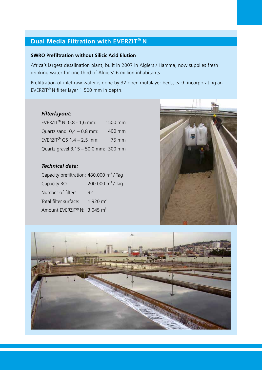## **Dual Media Filtration with EVERZIT® N**

#### **SWRO Prefiltration without Silicic Acid Elution**

Africa´s largest desalination plant, built in 2007 in Algiers / Hamma, now supplies fresh drinking water for one third of Algiers' 6 million inhabitants.

Prefiltration of inlet raw water is done by 32 open multilayer beds, each incorporating an EVERZIT® N filter layer 1.500 mm in depth.

### *Filterlayout:*

EVERZIT<sup>®</sup> N  $0,8 - 1,6$  mm: Quartz sand  $0,4 - 0,8$  mm: EVERZIT<sup>®</sup> GS  $1,4 - 2,5$  mm: Quartz gravel 3,15 – 50,0 mm: 300 mm 1500 mm 400 mm 75 mm

## *Technical data:*

| Capacity prefiltration: 480.000 m <sup>3</sup> / Tag |                            |
|------------------------------------------------------|----------------------------|
| Capacity RO:                                         | 200.000 $\text{m}^3$ / Tag |
| Number of filters:                                   | 32                         |
| Total filter surface:                                | 1.920 $m2$                 |
| Amount EVERZIT® N: 3.045 m <sup>3</sup>              |                            |